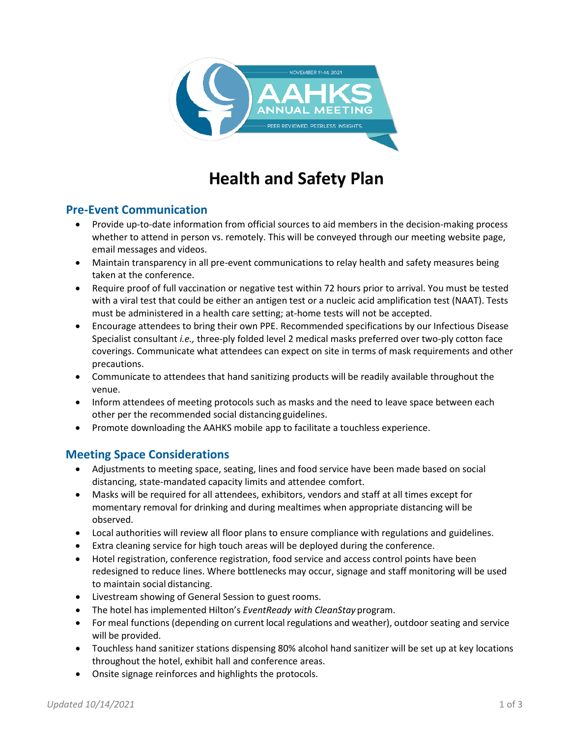

# **Health and Safety Plan**

## **Pre-Event Communication**

- Provide up-to-date information from official sources to aid members in the decision-making process whether to attend in person vs. remotely. This will be conveyed through our meeting website page, email messages and videos.
- Maintain transparency in all pre-event communications to relay health and safety measures being taken at the conference.
- Require proof of full vaccination or negative test within 72 hours prior to arrival. You must be tested with a viral test that could be either an antigen test or a nucleic acid amplification test (NAAT). Tests must be administered in a health care setting; at-home tests will not be accepted.
- Encourage attendees to bring their own PPE. Recommended specifications by our Infectious Disease Specialist consultant *i.e.,* three-ply folded level 2 medical masks preferred over two-ply cotton face coverings. Communicate what attendees can expect on site in terms of mask requirements and other precautions.
- Communicate to attendees that hand sanitizing products will be readily available throughout the venue.
- Inform attendees of meeting protocols such as masks and the need to leave space between each other per the recommended social distancing guidelines.
- Promote downloading the AAHKS mobile app to facilitate a touchless experience.

# **Meeting Space Considerations**

- Adjustments to meeting space, seating, lines and food service have been made based on social distancing, state-mandated capacity limits and attendee comfort.
- Masks will be required for all attendees, exhibitors, vendors and staff at all times except for momentary removal for drinking and during mealtimes when appropriate distancing will be observed.
- Local authorities will review all floor plans to ensure compliance with regulations and guidelines.
- Extra cleaning service for high touch areas will be deployed during the conference.
- Hotel registration, conference registration, food service and access control points have been redesigned to reduce lines. Where bottlenecks may occur, signage and staff monitoring will be used to maintain social distancing.
- Livestream showing of General Session to guest rooms.
- The hotel has implemented Hilton's *EventReady with CleanStay* program.
- For meal functions (depending on current local regulations and weather), outdoorseating and service will be provided.
- Touchless hand sanitizer stations dispensing 80% alcohol hand sanitizer will be set up at key locations throughout the hotel, exhibit hall and conference areas.
- Onsite signage reinforces and highlights the protocols.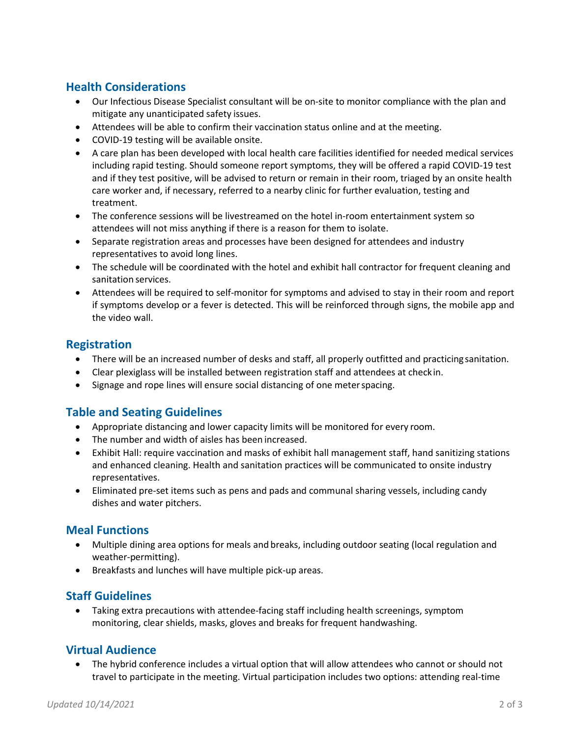# **Health Considerations**

- Our Infectious Disease Specialist consultant will be on-site to monitor compliance with the plan and mitigate any unanticipated safety issues.
- Attendees will be able to confirm their vaccination status online and at the meeting.
- COVID-19 testing will be available onsite.
- A care plan has been developed with local health care facilities identified for needed medical services including rapid testing. Should someone report symptoms, they will be offered a rapid COVID-19 test and if they test positive, will be advised to return or remain in their room, triaged by an onsite health care worker and, if necessary, referred to a nearby clinic for further evaluation, testing and treatment.
- The conference sessions will be livestreamed on the hotel in-room entertainment system so attendees will not miss anything if there is a reason for them to isolate.
- Separate registration areas and processes have been designed for attendees and industry representatives to avoid long lines.
- The schedule will be coordinated with the hotel and exhibit hall contractor for frequent cleaning and sanitation services.
- Attendees will be required to self-monitor for symptoms and advised to stay in their room and report if symptoms develop or a fever is detected. This will be reinforced through signs, the mobile app and the video wall.

## **Registration**

- There will be an increased number of desks and staff, all properly outfitted and practicing sanitation.
- Clear plexiglass will be installed between registration staff and attendees at checkin.
- Signage and rope lines will ensure social distancing of one meterspacing.

## **Table and Seating Guidelines**

- Appropriate distancing and lower capacity limits will be monitored for every room.
- The number and width of aisles has been increased.
- Exhibit Hall: require vaccination and masks of exhibit hall management staff, hand sanitizing stations and enhanced cleaning. Health and sanitation practices will be communicated to onsite industry representatives.
- Eliminated pre-set items such as pens and pads and communal sharing vessels, including candy dishes and water pitchers.

## **Meal Functions**

- Multiple dining area options for meals and breaks, including outdoor seating (local regulation and weather-permitting).
- Breakfasts and lunches will have multiple pick-up areas.

#### **Staff Guidelines**

• Taking extra precautions with attendee-facing staff including health screenings, symptom monitoring, clear shields, masks, gloves and breaks for frequent handwashing.

## **Virtual Audience**

• The hybrid conference includes a virtual option that will allow attendees who cannot or should not travel to participate in the meeting. Virtual participation includes two options: attending real-time